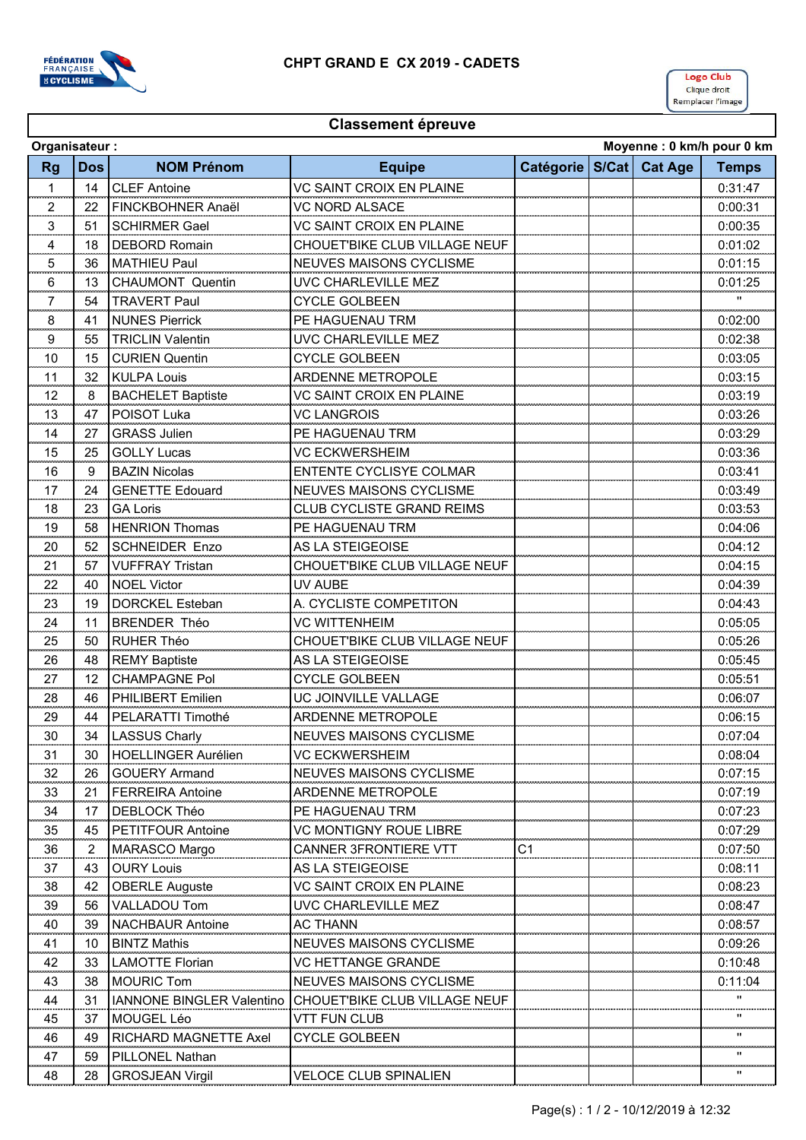

## **Classement épreuve**

|             | Moyenne: 0 km/h pour 0 km<br>Organisateur: |                                  |                                  |           |  |               |              |  |  |  |
|-------------|--------------------------------------------|----------------------------------|----------------------------------|-----------|--|---------------|--------------|--|--|--|
| <b>Rg</b>   | <b>Dos</b>                                 | <b>NOM Prénom</b>                | <b>Equipe</b>                    | Catégorie |  | S/Cat Cat Age | <b>Temps</b> |  |  |  |
| 1           | 14                                         | <b>CLEF Antoine</b>              | <b>VC SAINT CROIX EN PLAINE</b>  |           |  |               | 0:31:47      |  |  |  |
| 2           | 22                                         | FINCKBOHNER Anaël                | <b>VC NORD ALSACE</b>            |           |  |               | 0:00:31      |  |  |  |
| 3           | 51                                         | <b>SCHIRMER Gael</b>             | VC SAINT CROIX EN PLAINE         |           |  |               | 0:00:35      |  |  |  |
| 4           | 18                                         | <b>DEBORD Romain</b>             | CHOUET'BIKE CLUB VILLAGE NEUF    |           |  |               | 0:01:02      |  |  |  |
| 5           | 36                                         | <b>MATHIEU Paul</b>              | <b>NEUVES MAISONS CYCLISME</b>   |           |  |               | 0:01:15      |  |  |  |
| 6           | 13                                         | <b>CHAUMONT Quentin</b>          | UVC CHARLEVILLE MEZ              |           |  |               | 0:01:25      |  |  |  |
| 7           | 54                                         | <b>TRAVERT Paul</b>              | <b>CYCLE GOLBEEN</b>             |           |  |               |              |  |  |  |
| 8           | 41                                         | <b>NUNES Pierrick</b>            | PE HAGUENAU TRM                  |           |  |               | 0:02:00      |  |  |  |
| 9           | 55                                         | <b>TRICLIN Valentin</b>          | UVC CHARLEVILLE MEZ              |           |  |               | 0:02:38      |  |  |  |
| 10          | 15                                         | <b>CURIEN Quentin</b>            | <b>CYCLE GOLBEEN</b>             |           |  |               | 0:03:05      |  |  |  |
| 11          | 32                                         | <b>KULPA Louis</b>               | <b>ARDENNE METROPOLE</b>         |           |  |               | 0:03:15      |  |  |  |
| 12          | 8                                          | <b>BACHELET Baptiste</b>         | VC SAINT CROIX EN PLAINE         |           |  |               | 0:03:19      |  |  |  |
| 13          | 47                                         | POISOT Luka                      | <b>VC LANGROIS</b>               |           |  |               | 0:03:26      |  |  |  |
| 14          | 27                                         | <b>GRASS Julien</b>              | PE HAGUENAU TRM                  |           |  |               | 0:03:29      |  |  |  |
| 15          | 25                                         | <b>GOLLY Lucas</b>               | <b>VC ECKWERSHEIM</b>            |           |  |               | 0:03:36      |  |  |  |
| 16          | 9                                          | <b>BAZIN Nicolas</b>             | ENTENTE CYCLISYE COLMAR          |           |  |               | 0:03:41      |  |  |  |
| 17          | 24                                         | <b>GENETTE Edouard</b>           | <b>NEUVES MAISONS CYCLISME</b>   |           |  |               | 0:03:49      |  |  |  |
| 18          | 23                                         | <b>GA Loris</b>                  | <b>CLUB CYCLISTE GRAND REIMS</b> |           |  |               | 0:03:53      |  |  |  |
| 19          | 58                                         | <b>HENRION Thomas</b>            | PE HAGUENAU TRM                  |           |  |               | 0:04:06      |  |  |  |
| 20          | 52                                         | <b>SCHNEIDER Enzo</b>            | AS LA STEIGEOISE                 |           |  |               | 0:04:12      |  |  |  |
| 21          | 57                                         | <b>VUFFRAY Tristan</b>           | CHOUET'BIKE CLUB VILLAGE NEUF    |           |  |               | 0:04:15      |  |  |  |
| 22          | 40                                         | <b>NOEL Victor</b>               | UV AUBE                          |           |  |               | 0:04:39      |  |  |  |
| 23          | 19                                         | <b>DORCKEL Esteban</b>           | A. CYCLISTE COMPETITON           |           |  |               | 0:04:43      |  |  |  |
| 24          | 11                                         | <b>BRENDER Théo</b>              | <b>VC WITTENHEIM</b>             |           |  |               | 0:05:05      |  |  |  |
| 25          | 50                                         | <b>RUHER Théo</b>                | CHOUET'BIKE CLUB VILLAGE NEUF    |           |  |               | 0:05:26      |  |  |  |
| 26          | 48                                         | <b>REMY Baptiste</b>             | AS LA STEIGEOISE                 |           |  |               | 0:05:45      |  |  |  |
| 27          | 12                                         | <b>CHAMPAGNE Pol</b>             | <b>CYCLE GOLBEEN</b>             |           |  |               | 0:05:51      |  |  |  |
| 28          | 46                                         | PHILIBERT Emilien                | UC JOINVILLE VALLAGE             |           |  |               | 0:06:07      |  |  |  |
| 29          | 44                                         | PELARATTI Timothé                | <b>ARDENNE METROPOLE</b>         |           |  |               | 0:06:15      |  |  |  |
| 30          | 34                                         | <b>LASSUS Charly</b>             | <b>NEUVES MAISONS CYCLISME</b>   |           |  |               | 0:07:04      |  |  |  |
| 31          | 30                                         | <b>HOELLINGER Aurélien</b>       | <b>VC ECKWERSHEIM</b>            |           |  |               | 0:08:04      |  |  |  |
| 32          | 26                                         | <b>GOUERY Armand</b>             | <b>NEUVES MAISONS CYCLISME</b>   |           |  |               | 0:07:15      |  |  |  |
| 33          | 21                                         | <b>FERREIRA Antoine</b>          | ARDENNE METROPOLE                |           |  |               | 0:07:19      |  |  |  |
| 34          | 17                                         | DEBLOCK Théo                     | PE HAGUENAU TRM                  |           |  |               | 0:07:23      |  |  |  |
| 35          | 45                                         | <b>PETITFOUR Antoine</b>         | VC MONTIGNY ROUE LIBRE           |           |  |               | 0:07:29      |  |  |  |
| 36          | 2                                          | MARASCO Margo                    | <b>CANNER 3FRONTIERE VTT</b>     | C1        |  |               | 0:07:50      |  |  |  |
| 37          | 43                                         | <b>OURY Louis</b>                | AS LA STEIGEOISE                 |           |  |               | 0:08:11      |  |  |  |
| an an<br>38 | 42                                         | <b>OBERLE Auguste</b>            | VC SAINT CROIX EN PLAINE         |           |  |               | 0:08:23      |  |  |  |
| 39          | 56                                         | <b>VALLADOU Tom</b>              | UVC CHARLEVILLE MEZ              |           |  |               | 0:08:47      |  |  |  |
| 40          | 39                                         | <b>NACHBAUR Antoine</b>          | AC THANN                         |           |  |               | 0:08:57      |  |  |  |
| 41          | 10                                         | <b>BINTZ Mathis</b>              | <b>NEUVES MAISONS CYCLISME</b>   |           |  |               | 0:09:26      |  |  |  |
| 42          | 33                                         | <b>LAMOTTE Florian</b>           | <b>VC HETTANGE GRANDE</b>        |           |  |               | 0:10:48      |  |  |  |
| 43          | 38                                         | <b>MOURIC Tom</b>                | <b>NEUVES MAISONS CYCLISME</b>   |           |  |               | 0:11:04      |  |  |  |
| 44          | 31                                         | <b>IANNONE BINGLER Valentino</b> | CHOUET'BIKE CLUB VILLAGE NEUF    |           |  |               |              |  |  |  |
| 45          | 37                                         | MOUGEL Léo                       | VTT FUN CLUB                     |           |  |               | $\mathbf{H}$ |  |  |  |
| 46          | 49                                         | <b>RICHARD MAGNETTE Axel</b>     | <b>CYCLE GOLBEEN</b>             |           |  |               |              |  |  |  |
| 47          | 59                                         | PILLONEL Nathan                  |                                  |           |  |               |              |  |  |  |
| 48          | 28                                         | <b>GROSJEAN Virgil</b>           | <b>VELOCE CLUB SPINALIEN</b>     |           |  |               |              |  |  |  |